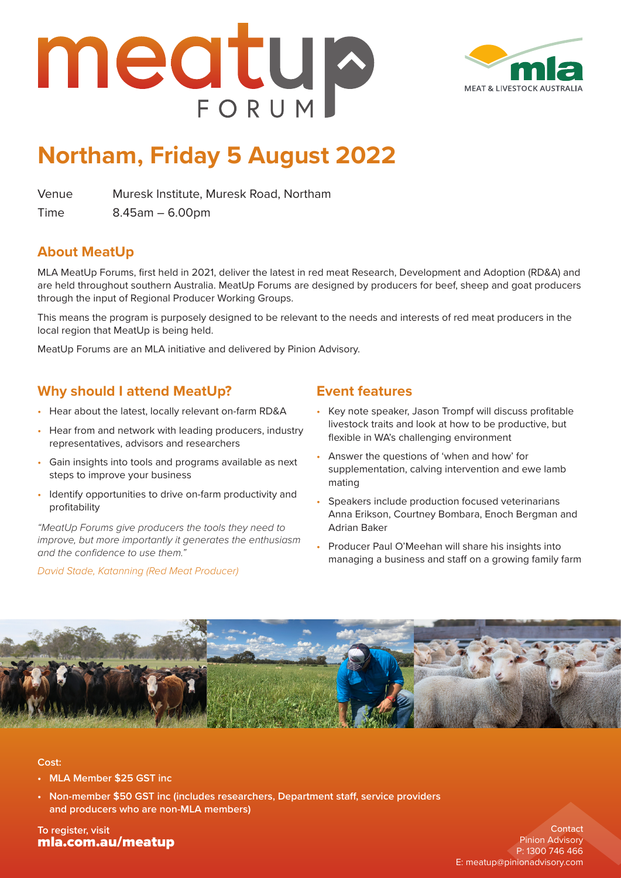



## **Northam, Friday 5 August 2022**

Venue Muresk Institute, Muresk Road, Northam

Time 8.45am – 6.00pm

#### **About MeatUp**

MLA MeatUp Forums, first held in 2021, deliver the latest in red meat Research, Development and Adoption (RD&A) and are held throughout southern Australia. MeatUp Forums are designed by producers for beef, sheep and goat producers through the input of Regional Producer Working Groups.

This means the program is purposely designed to be relevant to the needs and interests of red meat producers in the local region that MeatUp is being held.

MeatUp Forums are an MLA initiative and delivered by Pinion Advisory.

### **Why should I attend MeatUp?**

- Hear about the latest, locally relevant on-farm RD&A
- Hear from and network with leading producers, industry representatives, advisors and researchers
- Gain insights into tools and programs available as next steps to improve your business
- Identify opportunities to drive on-farm productivity and profitability

*"MeatUp Forums give producers the tools they need to improve, but more importantly it generates the enthusiasm and the confidence to use them."*

*David Stade, Katanning (Red Meat Producer)*

#### **Event features**

- Key note speaker, Jason Trompf will discuss profitable livestock traits and look at how to be productive, but flexible in WA's challenging environment
- Answer the questions of 'when and how' for supplementation, calving intervention and ewe lamb mating
- Speakers include production focused veterinarians Anna Erikson, Courtney Bombara, Enoch Bergman and Adrian Baker
- Producer Paul O'Meehan will share his insights into managing a business and staff on a growing family farm



#### **Cost:**

- **• MLA Member \$25 GST inc**
- **• Non-member \$50 GST inc (includes researchers, Department staff, service providers and producers who are non-MLA members)**

**To register, visit** [mla.com.au/meatup](https://www.mla.com.au/extension-training-and-tools/meatup/)

**Contact** Pinion Advisory P: 1300 746 466 E: [meatup@pinionadvisory.com](mailto:meatup%40pinionadvisory.com?subject=)